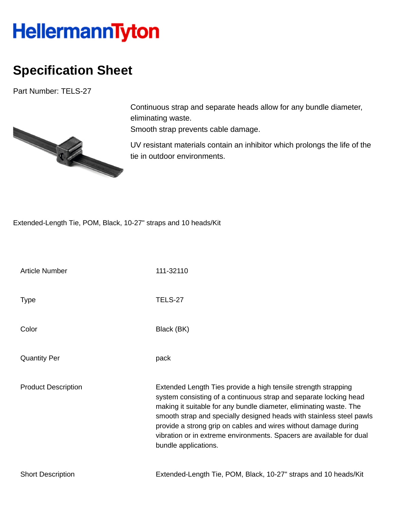## **HellermannTyton**

## **Specification Sheet**

Part Number: TELS-27



Continuous strap and separate heads allow for any bundle diameter, eliminating waste.

Smooth strap prevents cable damage.

UV resistant materials contain an inhibitor which prolongs the life of the tie in outdoor environments.

Extended-Length Tie, POM, Black, 10-27" straps and 10 heads/Kit

| <b>Article Number</b>      | 111-32110                                                                                                                                                                                                                                                                                                                                                                                                                                            |
|----------------------------|------------------------------------------------------------------------------------------------------------------------------------------------------------------------------------------------------------------------------------------------------------------------------------------------------------------------------------------------------------------------------------------------------------------------------------------------------|
| <b>Type</b>                | <b>TELS-27</b>                                                                                                                                                                                                                                                                                                                                                                                                                                       |
| Color                      | Black (BK)                                                                                                                                                                                                                                                                                                                                                                                                                                           |
| <b>Quantity Per</b>        | pack                                                                                                                                                                                                                                                                                                                                                                                                                                                 |
| <b>Product Description</b> | Extended Length Ties provide a high tensile strength strapping<br>system consisting of a continuous strap and separate locking head<br>making it suitable for any bundle diameter, eliminating waste. The<br>smooth strap and specially designed heads with stainless steel pawls<br>provide a strong grip on cables and wires without damage during<br>vibration or in extreme environments. Spacers are available for dual<br>bundle applications. |
| <b>Short Description</b>   | Extended-Length Tie, POM, Black, 10-27" straps and 10 heads/Kit                                                                                                                                                                                                                                                                                                                                                                                      |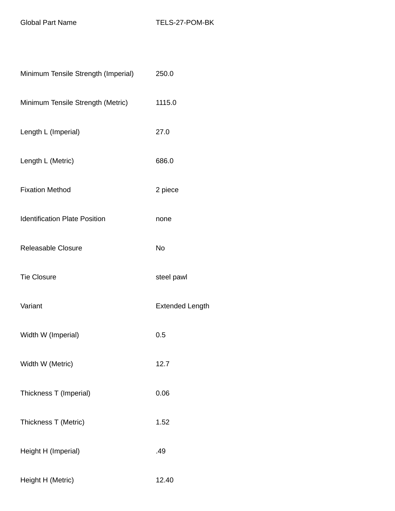| Minimum Tensile Strength (Imperial)  | 250.0                  |
|--------------------------------------|------------------------|
| Minimum Tensile Strength (Metric)    | 1115.0                 |
| Length L (Imperial)                  | 27.0                   |
| Length L (Metric)                    | 686.0                  |
| <b>Fixation Method</b>               | 2 piece                |
| <b>Identification Plate Position</b> | none                   |
| Releasable Closure                   | <b>No</b>              |
| <b>Tie Closure</b>                   | steel pawl             |
| Variant                              | <b>Extended Length</b> |
| Width W (Imperial)                   | 0.5                    |
| Width W (Metric)                     | 12.7                   |
| Thickness T (Imperial)               | 0.06                   |
| Thickness T (Metric)                 | 1.52                   |
| Height H (Imperial)                  | .49                    |
| Height H (Metric)                    | 12.40                  |